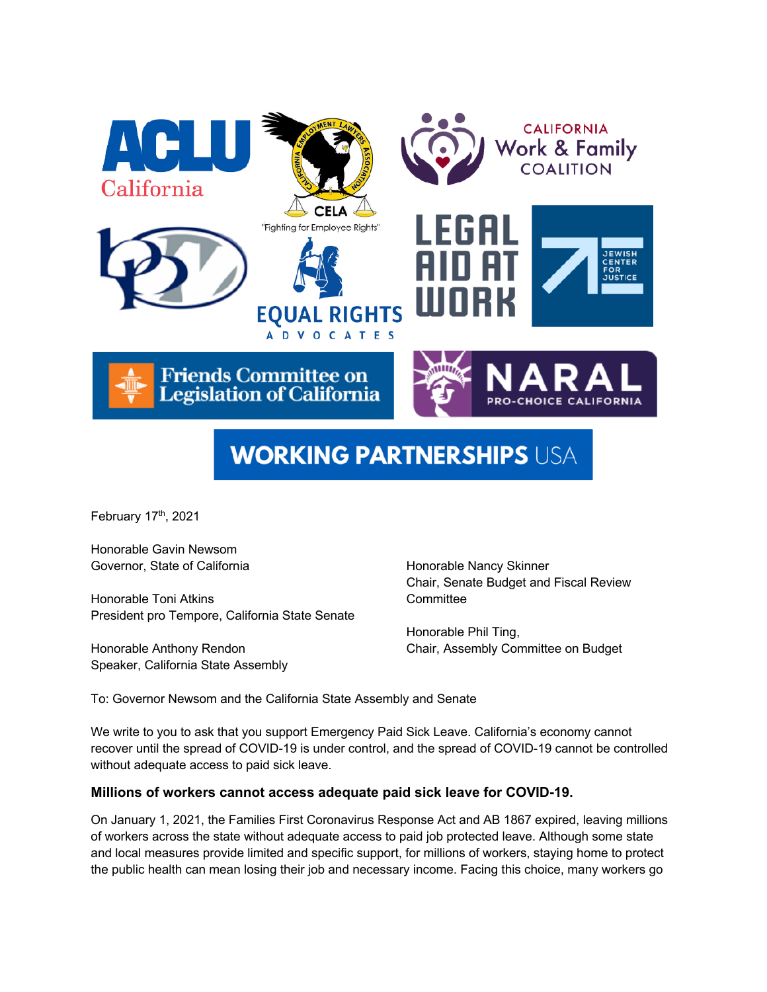

# **WORKING PARTNERSHIPS USA**

February 17th, 2021

Honorable Gavin Newsom Governor, State of California

Honorable Toni Atkins President pro Tempore, California State Senate

Honorable Anthony Rendon Speaker, California State Assembly Honorable Nancy Skinner Chair, Senate Budget and Fiscal Review **Committee** 

Honorable Phil Ting, Chair, Assembly Committee on Budget

To: Governor Newsom and the California State Assembly and Senate

We write to you to ask that you support Emergency Paid Sick Leave. California's economy cannot recover until the spread of COVID-19 is under control, and the spread of COVID-19 cannot be controlled without adequate access to paid sick leave.

## **Millions of workers cannot access adequate paid sick leave for COVID-19.**

On January 1, 2021, the Families First Coronavirus Response Act and AB 1867 expired, leaving millions of workers across the state without adequate access to paid job protected leave. Although some state and local measures provide limited and specific support, for millions of workers, staying home to protect the public health can mean losing their job and necessary income. Facing this choice, many workers go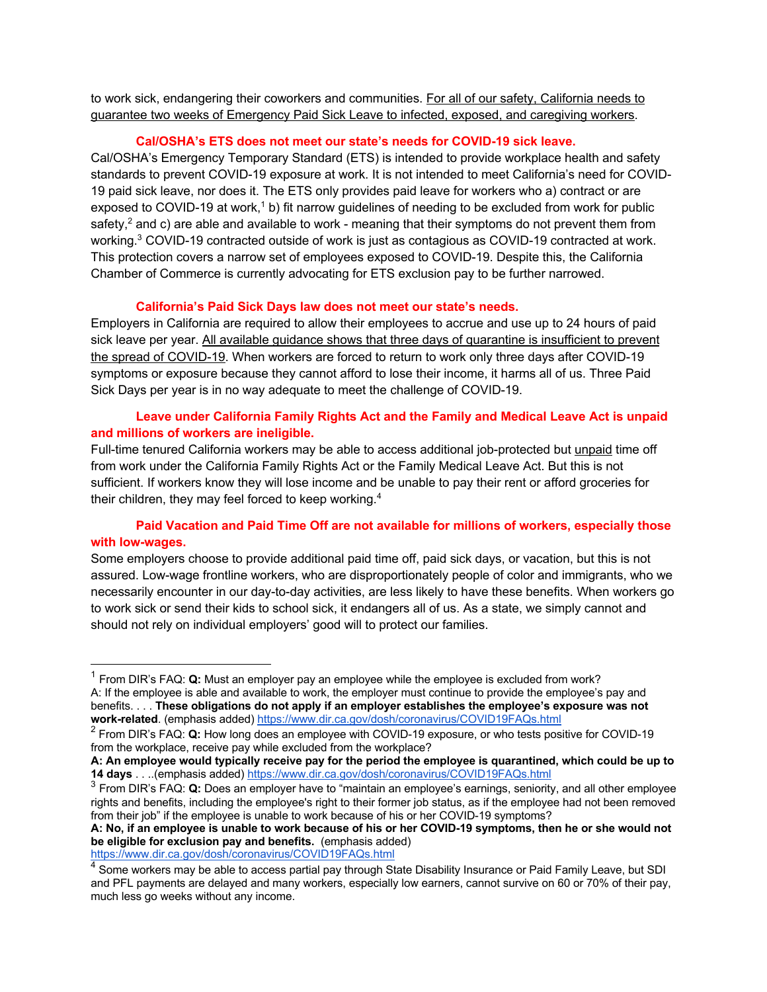to work sick, endangering their coworkers and communities. For all of our safety, California needs to guarantee two weeks of Emergency Paid Sick Leave to infected, exposed, and caregiving workers.

## **Cal/OSHA's ETS does not meet our state's needs for COVID-19 sick leave.**

Cal/OSHA's Emergency Temporary Standard (ETS) is intended to provide workplace health and safety standards to prevent COVID-19 exposure at work. It is not intended to meet California's need for COVID-19 paid sick leave, nor does it. The ETS only provides paid leave for workers who a) contract or are exposed to COVID-19 at work,<sup>1</sup> b) fit narrow guidelines of needing to be excluded from work for public safety, $<sup>2</sup>$  and c) are able and available to work - meaning that their symptoms do not prevent them from</sup> working.<sup>3</sup> COVID-19 contracted outside of work is just as contagious as COVID-19 contracted at work. This protection covers a narrow set of employees exposed to COVID-19. Despite this, the California Chamber of Commerce is currently advocating for ETS exclusion pay to be further narrowed.

# **California's Paid Sick Days law does not meet our state's needs.**

Employers in California are required to allow their employees to accrue and use up to 24 hours of paid sick leave per year. All available guidance shows that three days of quarantine is insufficient to prevent the spread of COVID-19. When workers are forced to return to work only three days after COVID-19 symptoms or exposure because they cannot afford to lose their income, it harms all of us. Three Paid Sick Days per year is in no way adequate to meet the challenge of COVID-19.

# **Leave under California Family Rights Act and the Family and Medical Leave Act is unpaid and millions of workers are ineligible.**

Full-time tenured California workers may be able to access additional job-protected but unpaid time off from work under the California Family Rights Act or the Family Medical Leave Act. But this is not sufficient. If workers know they will lose income and be unable to pay their rent or afford groceries for their children, they may feel forced to keep working.<sup>4</sup>

# **Paid Vacation and Paid Time Off are not available for millions of workers, especially those with low-wages.**

Some employers choose to provide additional paid time off, paid sick days, or vacation, but this is not assured. Low-wage frontline workers, who are disproportionately people of color and immigrants, who we necessarily encounter in our day-to-day activities, are less likely to have these benefits. When workers go to work sick or send their kids to school sick, it endangers all of us. As a state, we simply cannot and should not rely on individual employers' good will to protect our families.

<sup>1</sup> From DIR's FAQ: **Q:** Must an employer pay an employee while the employee is excluded from work? A: If the employee is able and available to work, the employer must continue to provide the employee's pay and benefits. . . . **These obligations do not apply if an employer establishes the employee's exposure was not work-related**. (emphasis added) https://www.dir.ca.gov/dosh/coronavirus/COVID19FAQs.html

<sup>2</sup> From DIR's FAQ: **Q:** How long does an employee with COVID-19 exposure, or who tests positive for COVID-19 from the workplace, receive pay while excluded from the workplace?

**A: An employee would typically receive pay for the period the employee is quarantined, which could be up to 14 days** . . ..(emphasis added) https://www.dir.ca.gov/dosh/coronavirus/COVID19FAQs.html

<sup>3</sup> From DIR's FAQ: **Q:** Does an employer have to "maintain an employee's earnings, seniority, and all other employee rights and benefits, including the employee's right to their former job status, as if the employee had not been removed from their job" if the employee is unable to work because of his or her COVID-19 symptoms?

**A: No, if an employee is unable to work because of his or her COVID-19 symptoms, then he or she would not be eligible for exclusion pay and benefits.** (emphasis added) https://www.dir.ca.gov/dosh/coronavirus/COVID19FAQs.html

 $^4$  Some workers may be able to access partial pay through State Disability Insurance or Paid Family Leave, but SDI and PFL payments are delayed and many workers, especially low earners, cannot survive on 60 or 70% of their pay, much less go weeks without any income.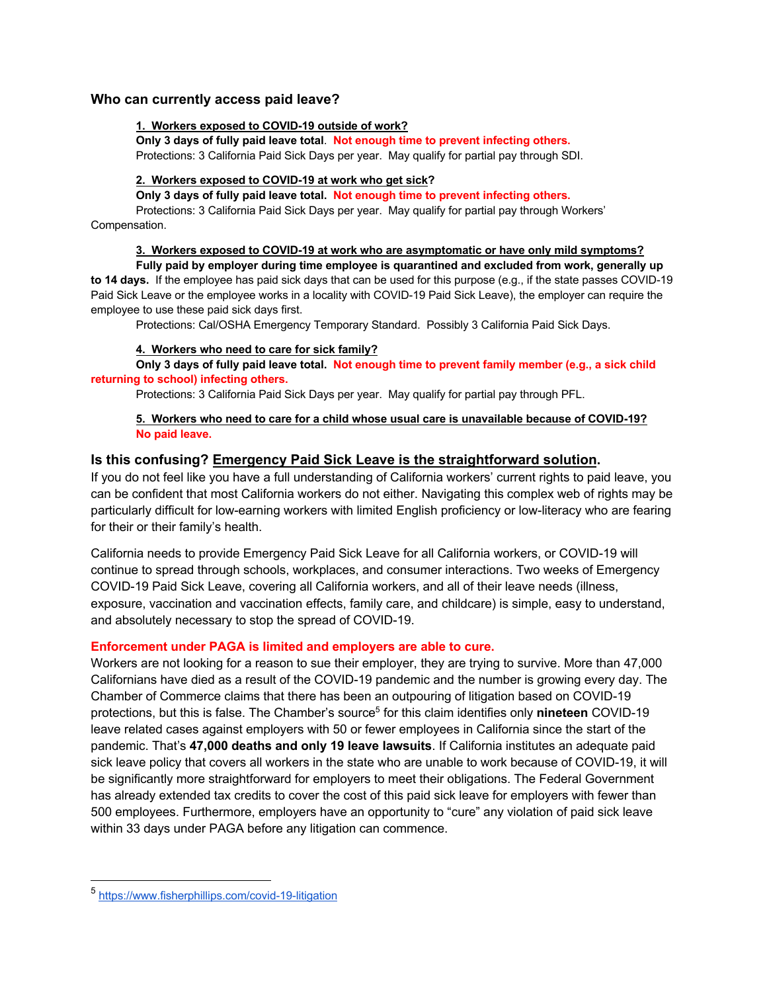## **Who can currently access paid leave?**

#### **1. Workers exposed to COVID-19 outside of work?**

**Only 3 days of fully paid leave total**. **Not enough time to prevent infecting others.** Protections: 3 California Paid Sick Days per year. May qualify for partial pay through SDI.

## **2. Workers exposed to COVID-19 at work who get sick?**

**Only 3 days of fully paid leave total. Not enough time to prevent infecting others.**

 Protections: 3 California Paid Sick Days per year. May qualify for partial pay through Workers' Compensation.

#### **3. Workers exposed to COVID-19 at work who are asymptomatic or have only mild symptoms?**

**Fully paid by employer during time employee is quarantined and excluded from work, generally up to 14 days.** If the employee has paid sick days that can be used for this purpose (e.g., if the state passes COVID-19 Paid Sick Leave or the employee works in a locality with COVID-19 Paid Sick Leave), the employer can require the employee to use these paid sick days first.

Protections: Cal/OSHA Emergency Temporary Standard. Possibly 3 California Paid Sick Days.

#### **4. Workers who need to care for sick family?**

**Only 3 days of fully paid leave total. Not enough time to prevent family member (e.g., a sick child returning to school) infecting others.**

Protections: 3 California Paid Sick Days per year. May qualify for partial pay through PFL.

## **5. Workers who need to care for a child whose usual care is unavailable because of COVID-19? No paid leave.**

# **Is this confusing? Emergency Paid Sick Leave is the straightforward solution.**

If you do not feel like you have a full understanding of California workers' current rights to paid leave, you can be confident that most California workers do not either. Navigating this complex web of rights may be particularly difficult for low-earning workers with limited English proficiency or low-literacy who are fearing for their or their family's health.

California needs to provide Emergency Paid Sick Leave for all California workers, or COVID-19 will continue to spread through schools, workplaces, and consumer interactions. Two weeks of Emergency COVID-19 Paid Sick Leave, covering all California workers, and all of their leave needs (illness, exposure, vaccination and vaccination effects, family care, and childcare) is simple, easy to understand, and absolutely necessary to stop the spread of COVID-19.

## **Enforcement under PAGA is limited and employers are able to cure.**

Workers are not looking for a reason to sue their employer, they are trying to survive. More than 47,000 Californians have died as a result of the COVID-19 pandemic and the number is growing every day. The Chamber of Commerce claims that there has been an outpouring of litigation based on COVID-19 protections, but this is false. The Chamber's source<sup>5</sup> for this claim identifies only **nineteen** COVID-19 leave related cases against employers with 50 or fewer employees in California since the start of the pandemic. That's **47,000 deaths and only 19 leave lawsuits**. If California institutes an adequate paid sick leave policy that covers all workers in the state who are unable to work because of COVID-19, it will be significantly more straightforward for employers to meet their obligations. The Federal Government has already extended tax credits to cover the cost of this paid sick leave for employers with fewer than 500 employees. Furthermore, employers have an opportunity to "cure" any violation of paid sick leave within 33 days under PAGA before any litigation can commence.

<sup>5</sup> https://www.fisherphillips.com/covid-19-litigation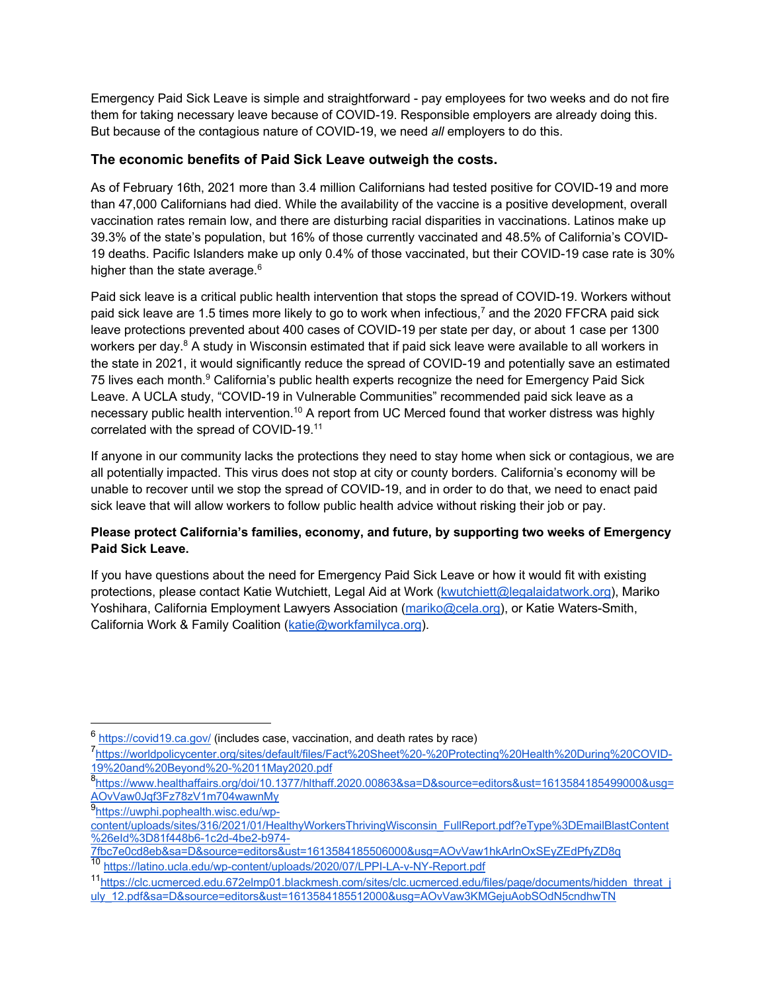Emergency Paid Sick Leave is simple and straightforward - pay employees for two weeks and do not fire them for taking necessary leave because of COVID-19. Responsible employers are already doing this. But because of the contagious nature of COVID-19, we need *all* employers to do this.

# **The economic benefits of Paid Sick Leave outweigh the costs.**

As of February 16th, 2021 more than 3.4 million Californians had tested positive for COVID-19 and more than 47,000 Californians had died. While the availability of the vaccine is a positive development, overall vaccination rates remain low, and there are disturbing racial disparities in vaccinations. Latinos make up 39.3% of the state's population, but 16% of those currently vaccinated and 48.5% of California's COVID-19 deaths. Pacific Islanders make up only 0.4% of those vaccinated, but their COVID-19 case rate is 30% higher than the state average.<sup>6</sup>

Paid sick leave is a critical public health intervention that stops the spread of COVID-19. Workers without paid sick leave are 1.5 times more likely to go to work when infectious,<sup>7</sup> and the 2020 FFCRA paid sick leave protections prevented about 400 cases of COVID-19 per state per day, or about 1 case per 1300 workers per day.<sup>8</sup> A study in Wisconsin estimated that if paid sick leave were available to all workers in the state in 2021, it would significantly reduce the spread of COVID-19 and potentially save an estimated 75 lives each month.<sup>9</sup> California's public health experts recognize the need for Emergency Paid Sick Leave. A UCLA study, "COVID-19 in Vulnerable Communities" recommended paid sick leave as a necessary public health intervention.<sup>10</sup> A report from UC Merced found that worker distress was highly correlated with the spread of COVID-19.11

If anyone in our community lacks the protections they need to stay home when sick or contagious, we are all potentially impacted. This virus does not stop at city or county borders. California's economy will be unable to recover until we stop the spread of COVID-19, and in order to do that, we need to enact paid sick leave that will allow workers to follow public health advice without risking their job or pay.

# **Please protect California's families, economy, and future, by supporting two weeks of Emergency Paid Sick Leave.**

If you have questions about the need for Emergency Paid Sick Leave or how it would fit with existing protections, please contact Katie Wutchiett, Legal Aid at Work (kwutchiett@legalaidatwork.org), Mariko Yoshihara, California Employment Lawyers Association (mariko@cela.org), or Katie Waters-Smith, California Work & Family Coalition (katie@workfamilyca.org).

<sup>&</sup>lt;sup>6</sup> https://covid19.ca.gov/ (includes case, vaccination, and death rates by race)

<sup>7&</sup>lt;br>https://worldpolicycenter.org/sites/default/files/Fact%20Sheet%20-%20Protecting%20Health%20During%20COVID-19%20and%20Beyond%20-%2011May2020.pdf

<sup>8</sup> https://www.healthaffairs.org/doi/10.1377/hlthaff.2020.00863&sa=D&source=editors&ust=1613584185499000&usg= AOvVaw0Jqf3Fz78zV1m704wawnMy

<sup>9&</sup>lt;sub>https://uwphi.pophealth.wisc.edu/wp-</sub> content/uploads/sites/316/2021/01/HealthyWorkersThrivingWisconsin\_FullReport.pdf?eType%3DEmailBlastContent %26eId%3D81f448b6-1c2d-4be2-b974-

<sup>7</sup>fbc7e0cd8eb&sa=D&source=editors&ust=1613584185506000&usg=AOvVaw1hkArlnOxSEyZEdPfyZD8q 10 https://latino.ucla.edu/wp-content/uploads/2020/07/LPPI-LA-v-NY-Report.pdf

<sup>11</sup>https://clc.ucmerced.edu.672elmp01.blackmesh.com/sites/clc.ucmerced.edu/files/page/documents/hidden\_threat\_j uly\_12.pdf&sa=D&source=editors&ust=1613584185512000&usg=AOvVaw3KMGejuAobSOdN5cndhwTN